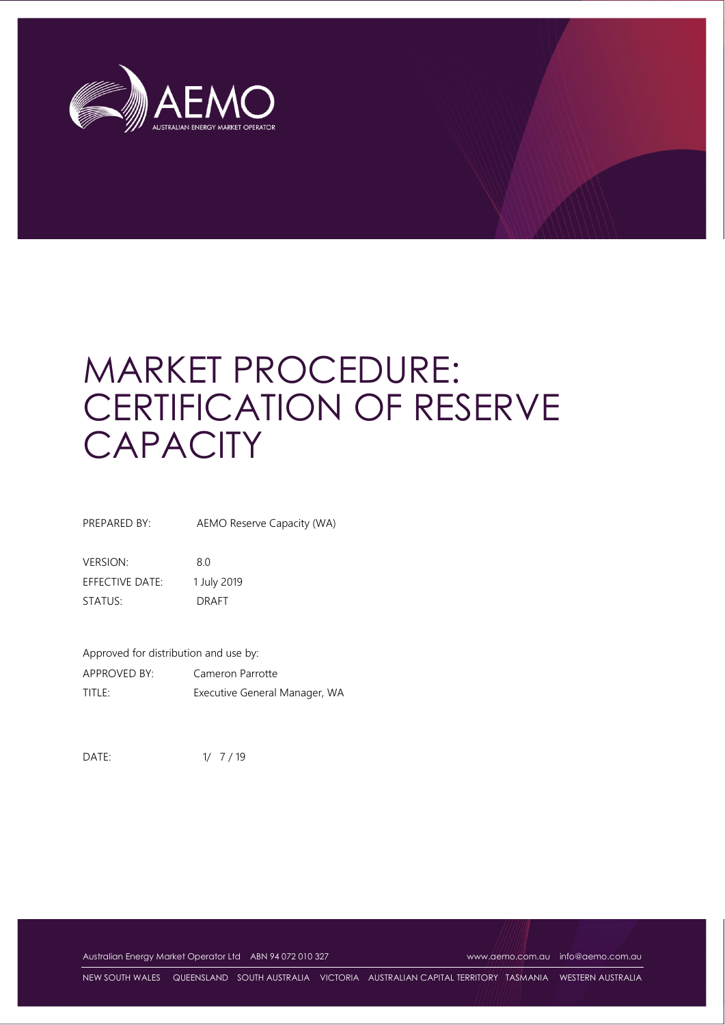

# MARKET PROCEDURE: CERTIFICATION OF RESERVE **CAPACITY**

PREPARED BY: AEMO Reserve Capacity (WA)

VERSION: 8.0 EFFECTIVE DATE: 1 July 2019 STATUS: DRAFT

Approved for distribution and use by: APPROVED BY: Cameron Parrotte TITLE: Executive General Manager, WA

DATE:  $1/ 7 / 19$ 

Australian Energy Market Operator Ltd ABN 94 072 010 327 [www.aemo.com.au](http://www.aemo.com.au/) [info@aemo.com.au](mailto:info@aemo.com.au)

NEW SOUTH WALES QUEENSLAND SOUTH AUSTRALIA VICTORIA AUSTRALIAN CAPITAL TERRITORY TASMANIA WESTERN AUSTRALIA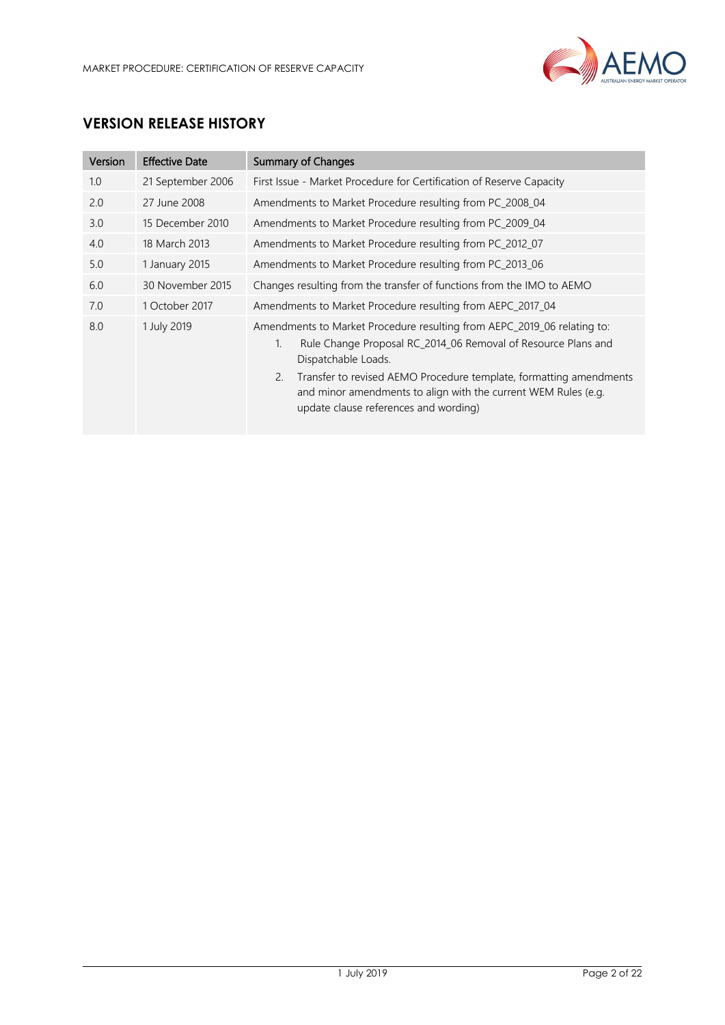

# **VERSION RELEASE HISTORY**

| Version | <b>Effective Date</b> | <b>Summary of Changes</b>                                                                                                                                                                                                                                                                                                                                    |
|---------|-----------------------|--------------------------------------------------------------------------------------------------------------------------------------------------------------------------------------------------------------------------------------------------------------------------------------------------------------------------------------------------------------|
| 1.0     | 21 September 2006     | First Issue - Market Procedure for Certification of Reserve Capacity                                                                                                                                                                                                                                                                                         |
| 2.0     | 27 June 2008          | Amendments to Market Procedure resulting from PC_2008_04                                                                                                                                                                                                                                                                                                     |
| 3.0     | 15 December 2010      | Amendments to Market Procedure resulting from PC_2009_04                                                                                                                                                                                                                                                                                                     |
| 4.0     | 18 March 2013         | Amendments to Market Procedure resulting from PC_2012_07                                                                                                                                                                                                                                                                                                     |
| 5.0     | 1 January 2015        | Amendments to Market Procedure resulting from PC_2013_06                                                                                                                                                                                                                                                                                                     |
| 6.0     | 30 November 2015      | Changes resulting from the transfer of functions from the IMO to AEMO                                                                                                                                                                                                                                                                                        |
| 7.0     | 1 October 2017        | Amendments to Market Procedure resulting from AEPC_2017_04                                                                                                                                                                                                                                                                                                   |
| 8.0     | 1 July 2019           | Amendments to Market Procedure resulting from AEPC_2019_06 relating to:<br>Rule Change Proposal RC_2014_06 Removal of Resource Plans and<br>1.<br>Dispatchable Loads.<br>Transfer to revised AEMO Procedure template, formatting amendments<br>2.<br>and minor amendments to align with the current WEM Rules (e.g.<br>update clause references and wording) |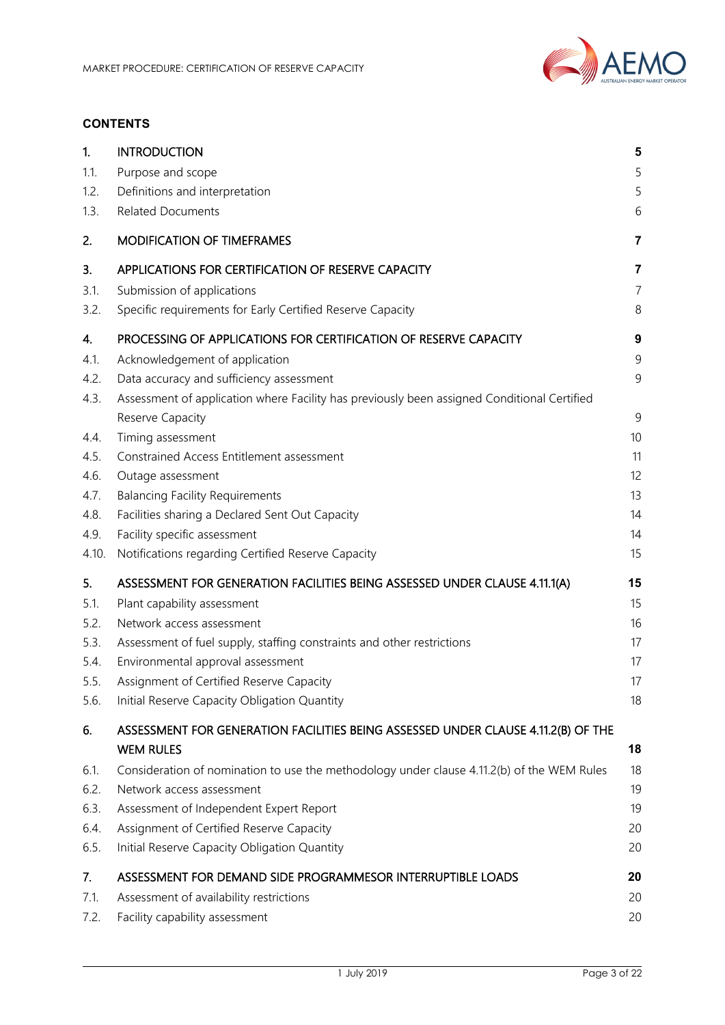

#### **CONTENTS**

| 1.    | <b>INTRODUCTION</b>                                                                         | 5                       |
|-------|---------------------------------------------------------------------------------------------|-------------------------|
| 1.1.  | Purpose and scope                                                                           | 5                       |
| 1.2.  | Definitions and interpretation                                                              | 5                       |
| 1.3.  | <b>Related Documents</b>                                                                    | 6                       |
| 2.    | <b>MODIFICATION OF TIMEFRAMES</b>                                                           | 7                       |
| 3.    | APPLICATIONS FOR CERTIFICATION OF RESERVE CAPACITY                                          | $\overline{\mathbf{7}}$ |
| 3.1.  | Submission of applications                                                                  | $\overline{7}$          |
| 3.2.  | Specific requirements for Early Certified Reserve Capacity                                  | 8                       |
| 4.    | PROCESSING OF APPLICATIONS FOR CERTIFICATION OF RESERVE CAPACITY                            | $\boldsymbol{9}$        |
| 4.1.  | Acknowledgement of application                                                              | 9                       |
| 4.2.  | Data accuracy and sufficiency assessment                                                    | 9                       |
| 4.3.  | Assessment of application where Facility has previously been assigned Conditional Certified |                         |
|       | Reserve Capacity                                                                            | 9                       |
| 4.4.  | Timing assessment                                                                           | 10                      |
| 4.5.  | Constrained Access Entitlement assessment                                                   | 11                      |
| 4.6.  | Outage assessment                                                                           | 12                      |
| 4.7.  | <b>Balancing Facility Requirements</b>                                                      | 13                      |
| 4.8.  | Facilities sharing a Declared Sent Out Capacity                                             | 14                      |
| 4.9.  | Facility specific assessment                                                                | 14                      |
| 4.10. | Notifications regarding Certified Reserve Capacity                                          | 15                      |
| 5.    | ASSESSMENT FOR GENERATION FACILITIES BEING ASSESSED UNDER CLAUSE 4.11.1(A)                  | 15                      |
| 5.1.  | Plant capability assessment                                                                 | 15                      |
| 5.2.  | Network access assessment                                                                   | 16                      |
| 5.3.  | Assessment of fuel supply, staffing constraints and other restrictions                      | 17                      |
| 5.4.  | Environmental approval assessment                                                           | 17                      |
| 5.5.  | Assignment of Certified Reserve Capacity                                                    | 17                      |
| 5.6.  | Initial Reserve Capacity Obligation Quantity                                                | 18                      |
| 6.    | ASSESSMENT FOR GENERATION FACILITIES BEING ASSESSED UNDER CLAUSE 4.11.2(B) OF THE           |                         |
|       | <b>WEM RULES</b>                                                                            | 18                      |
| 6.1.  | Consideration of nomination to use the methodology under clause 4.11.2(b) of the WEM Rules  | 18                      |
| 6.2.  | Network access assessment                                                                   | 19                      |
| 6.3.  | Assessment of Independent Expert Report                                                     | 19                      |
| 6.4.  | Assignment of Certified Reserve Capacity                                                    | 20                      |
| 6.5.  | Initial Reserve Capacity Obligation Quantity                                                | 20                      |
| 7.    | ASSESSMENT FOR DEMAND SIDE PROGRAMMESOR INTERRUPTIBLE LOADS                                 | 20                      |
| 7.1.  | Assessment of availability restrictions                                                     | 20                      |
| 7.2.  | Facility capability assessment                                                              | 20                      |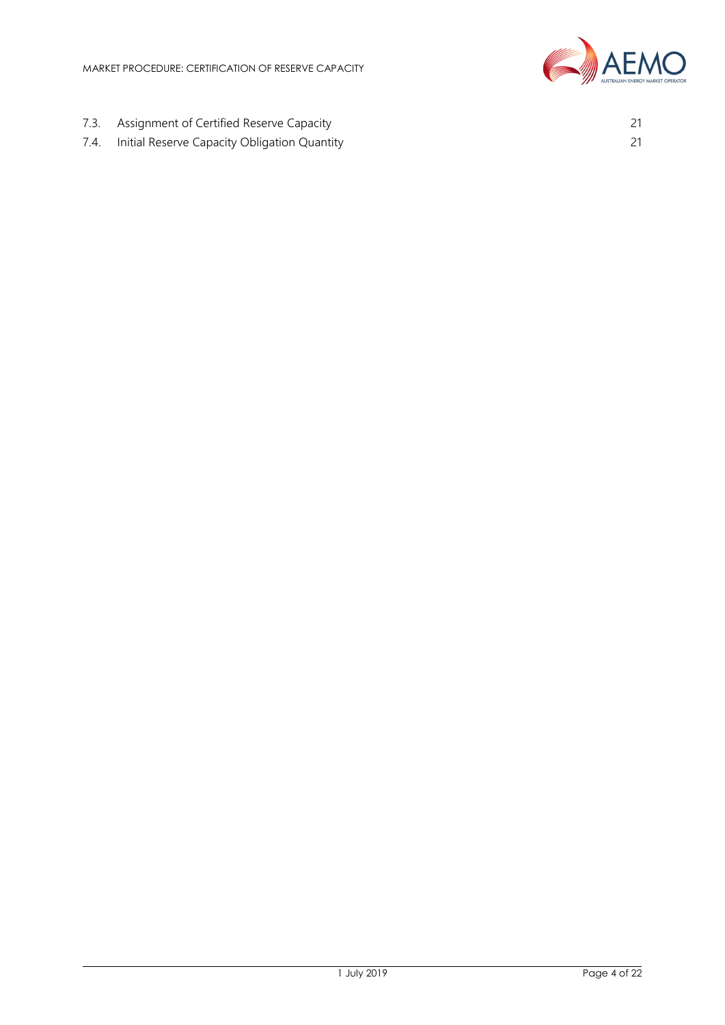

- 7.3. [Assignment of Certified Reserve Capacity](#page-20-0) 21
- 7.4. [Initial Reserve Capacity Obligation Quantity](#page-20-1) 21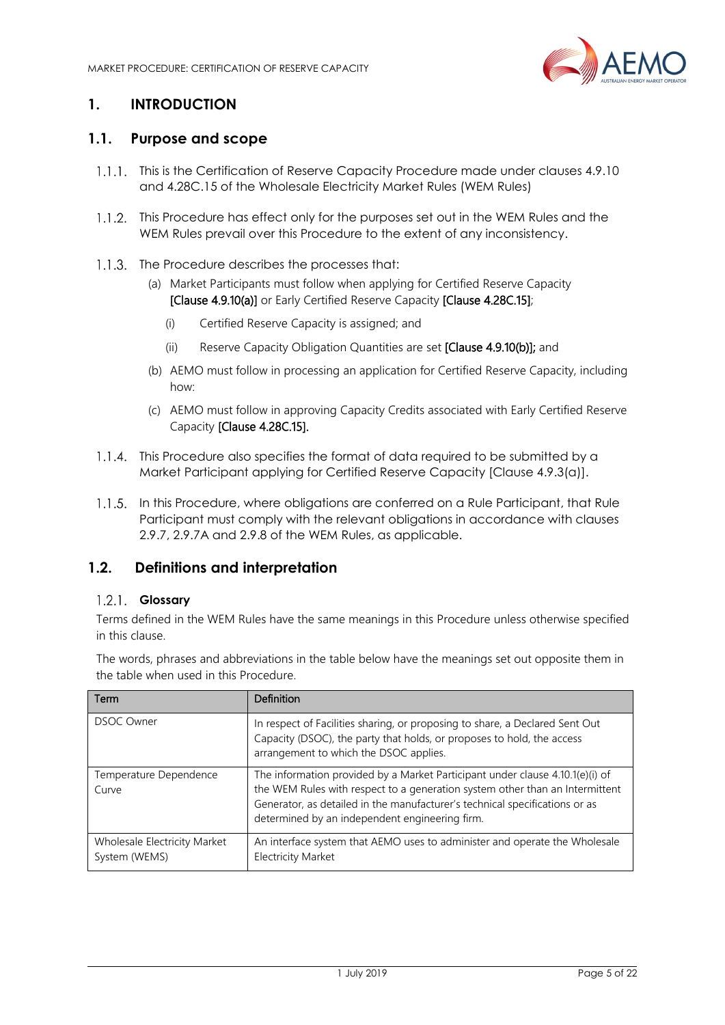

# <span id="page-4-0"></span>**1. INTRODUCTION**

### <span id="page-4-1"></span>**1.1. Purpose and scope**

- 1.1.1. This is the Certification of Reserve Capacity Procedure made under clauses 4.9.10 and 4.28C.15 of the Wholesale Electricity Market Rules (WEM Rules)
- 1.1.2. This Procedure has effect only for the purposes set out in the WEM Rules and the WEM Rules prevail over this Procedure to the extent of any inconsistency.
- 1.1.3. The Procedure describes the processes that:
	- (a) Market Participants must follow when applying for Certified Reserve Capacity [Clause 4.9.10(a)] or Early Certified Reserve Capacity [Clause 4.28C.15];
		- (i) Certified Reserve Capacity is assigned; and
		- (ii) Reserve Capacity Obligation Quantities are set [Clause 4.9.10(b)]; and
	- (b) AEMO must follow in processing an application for Certified Reserve Capacity, including how:
	- (c) AEMO must follow in approving Capacity Credits associated with Early Certified Reserve Capacity [Clause 4.28C.15].
- 1.1.4. This Procedure also specifies the format of data required to be submitted by a Market Participant applying for Certified Reserve Capacity [Clause 4.9.3(a)].
- 1.1.5. In this Procedure, where obligations are conferred on a Rule Participant, that Rule Participant must comply with the relevant obligations in accordance with clauses 2.9.7, 2.9.7A and 2.9.8 of the WEM Rules, as applicable.

#### <span id="page-4-2"></span>**1.2. Definitions and interpretation**

#### **Glossary**

Terms defined in the WEM Rules have the same meanings in this Procedure unless otherwise specified in this clause.

The words, phrases and abbreviations in the table below have the meanings set out opposite them in the table when used in this Procedure.

| Term                                          | <b>Definition</b>                                                                                                                                                                                                                                                                              |
|-----------------------------------------------|------------------------------------------------------------------------------------------------------------------------------------------------------------------------------------------------------------------------------------------------------------------------------------------------|
| <b>DSOC Owner</b>                             | In respect of Facilities sharing, or proposing to share, a Declared Sent Out<br>Capacity (DSOC), the party that holds, or proposes to hold, the access<br>arrangement to which the DSOC applies.                                                                                               |
| Temperature Dependence<br>Curve               | The information provided by a Market Participant under clause 4.10.1(e)(i) of<br>the WEM Rules with respect to a generation system other than an Intermittent<br>Generator, as detailed in the manufacturer's technical specifications or as<br>determined by an independent engineering firm. |
| Wholesale Electricity Market<br>System (WEMS) | An interface system that AEMO uses to administer and operate the Wholesale<br><b>Electricity Market</b>                                                                                                                                                                                        |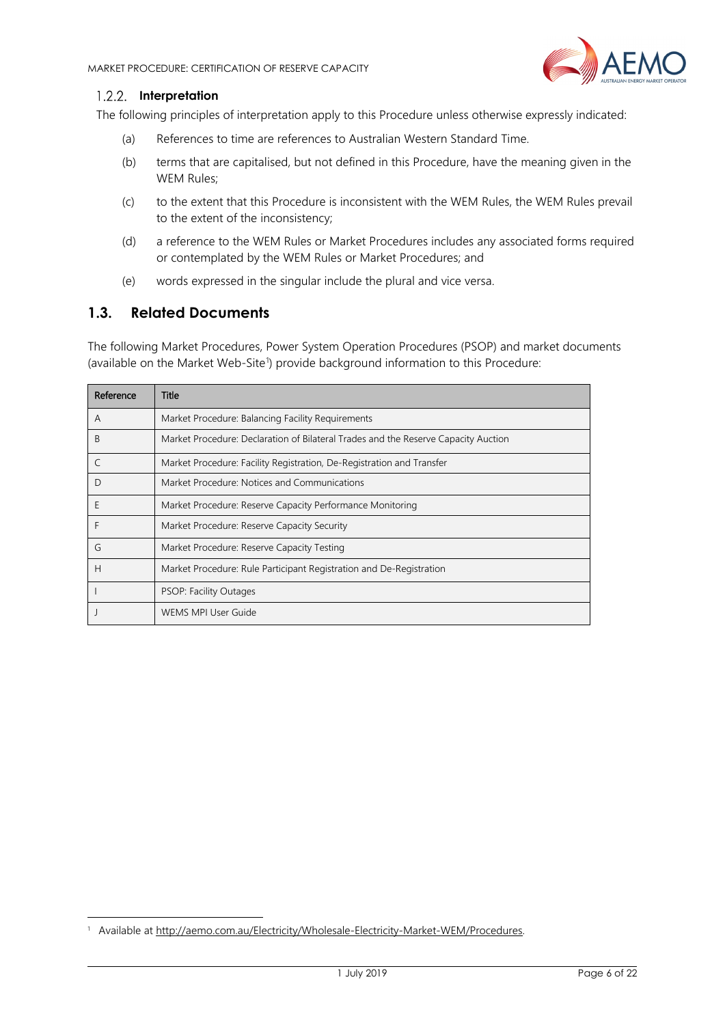

#### 1.2.2. Interpretation

The following principles of interpretation apply to this Procedure unless otherwise expressly indicated:

- (a) References to time are references to Australian Western Standard Time.
- (b) terms that are capitalised, but not defined in this Procedure, have the meaning given in the WEM Rules;
- (c) to the extent that this Procedure is inconsistent with the WEM Rules, the WEM Rules prevail to the extent of the inconsistency;
- (d) a reference to the WEM Rules or Market Procedures includes any associated forms required or contemplated by the WEM Rules or Market Procedures; and
- (e) words expressed in the singular include the plural and vice versa.

#### <span id="page-5-0"></span>**1.3. Related Documents**

-

The following Market Procedures, Power System Operation Procedures (PSOP) and market documents (available on the Market Web-Site<sup>[1](#page-5-1)</sup>) provide background information to this Procedure:

| Reference | Title                                                                              |
|-----------|------------------------------------------------------------------------------------|
| A         | Market Procedure: Balancing Facility Requirements                                  |
| B         | Market Procedure: Declaration of Bilateral Trades and the Reserve Capacity Auction |
|           | Market Procedure: Facility Registration, De-Registration and Transfer              |
| D         | Market Procedure: Notices and Communications                                       |
| Ε         | Market Procedure: Reserve Capacity Performance Monitoring                          |
| F         | Market Procedure: Reserve Capacity Security                                        |
| G         | Market Procedure: Reserve Capacity Testing                                         |
| H         | Market Procedure: Rule Participant Registration and De-Registration                |
|           | PSOP: Facility Outages                                                             |
|           | <b>WEMS MPI User Guide</b>                                                         |

<span id="page-5-1"></span><sup>&</sup>lt;sup>1</sup> Available at [http://aemo.com.au/Electricity/Wholesale-Electricity-Market-WEM/Procedures.](http://aemo.com.au/Electricity/Wholesale-Electricity-Market-WEM/Procedures)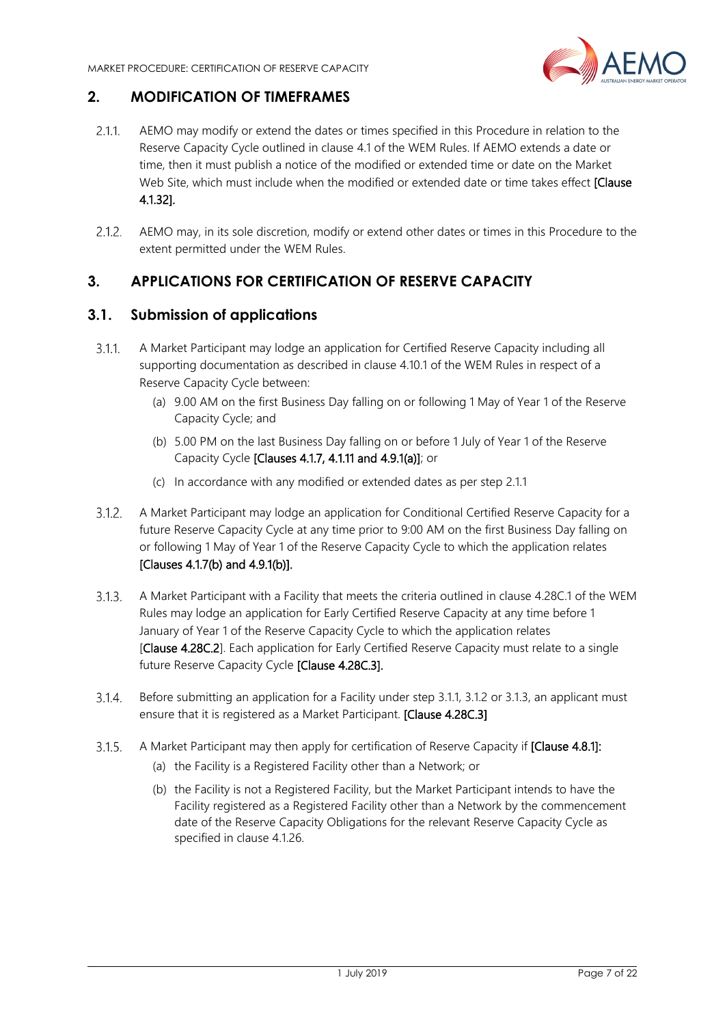

# <span id="page-6-0"></span>**2. MODIFICATION OF TIMEFRAMES**

- <span id="page-6-3"></span> $2.1.1$ AEMO may modify or extend the dates or times specified in this Procedure in relation to the Reserve Capacity Cycle outlined in clause 4.1 of the WEM Rules. If AEMO extends a date or time, then it must publish a notice of the modified or extended time or date on the Market Web Site, which must include when the modified or extended date or time takes effect **[Clause**] 4.1.32].
- AEMO may, in its sole discretion, modify or extend other dates or times in this Procedure to the extent permitted under the WEM Rules.

# <span id="page-6-1"></span>**3. APPLICATIONS FOR CERTIFICATION OF RESERVE CAPACITY**

#### <span id="page-6-2"></span>**3.1. Submission of applications**

- <span id="page-6-4"></span>A Market Participant may lodge an application for Certified Reserve Capacity including all  $3.1.1.$ supporting documentation as described in clause 4.10.1 of the WEM Rules in respect of a Reserve Capacity Cycle between:
	- (a) 9.00 AM on the first Business Day falling on or following 1 May of Year 1 of the Reserve Capacity Cycle; and
	- (b) 5.00 PM on the last Business Day falling on or before 1 July of Year 1 of the Reserve Capacity Cycle [Clauses 4.1.7, 4.1.11 and 4.9.1(a)]; or
	- (c) In accordance with any modified or extended dates as per step [2.1.1](#page-6-3)
- <span id="page-6-7"></span><span id="page-6-5"></span> $3.1.2.$ A Market Participant may lodge an application for Conditional Certified Reserve Capacity for a future Reserve Capacity Cycle at any time prior to 9:00 AM on the first Business Day falling on or following 1 May of Year 1 of the Reserve Capacity Cycle to which the application relates [Clauses 4.1.7(b) and 4.9.1(b)].
- <span id="page-6-6"></span> $3.1.3$ A Market Participant with a Facility that meets the criteria outlined in clause 4.28C.1 of the WEM Rules may lodge an application for Early Certified Reserve Capacity at any time before 1 January of Year 1 of the Reserve Capacity Cycle to which the application relates [Clause 4.28C.2]. Each application for Early Certified Reserve Capacity must relate to a single future Reserve Capacity Cycle [Clause 4.28C.3].
- $3.1.4.$ Before submitting an application for a Facility under step [3.1.1,](#page-6-4) [3.1.2](#page-6-5) or [3.1.3,](#page-6-6) an applicant must ensure that it is registered as a Market Participant. [Clause 4.28C.3]
- $3.1.5.$ A Market Participant may then apply for certification of Reserve Capacity if [Clause 4.8.1]:
	- (a) the Facility is a Registered Facility other than a Network; or
	- (b) the Facility is not a Registered Facility, but the Market Participant intends to have the Facility registered as a Registered Facility other than a Network by the commencement date of the Reserve Capacity Obligations for the relevant Reserve Capacity Cycle as specified in clause 4.1.26.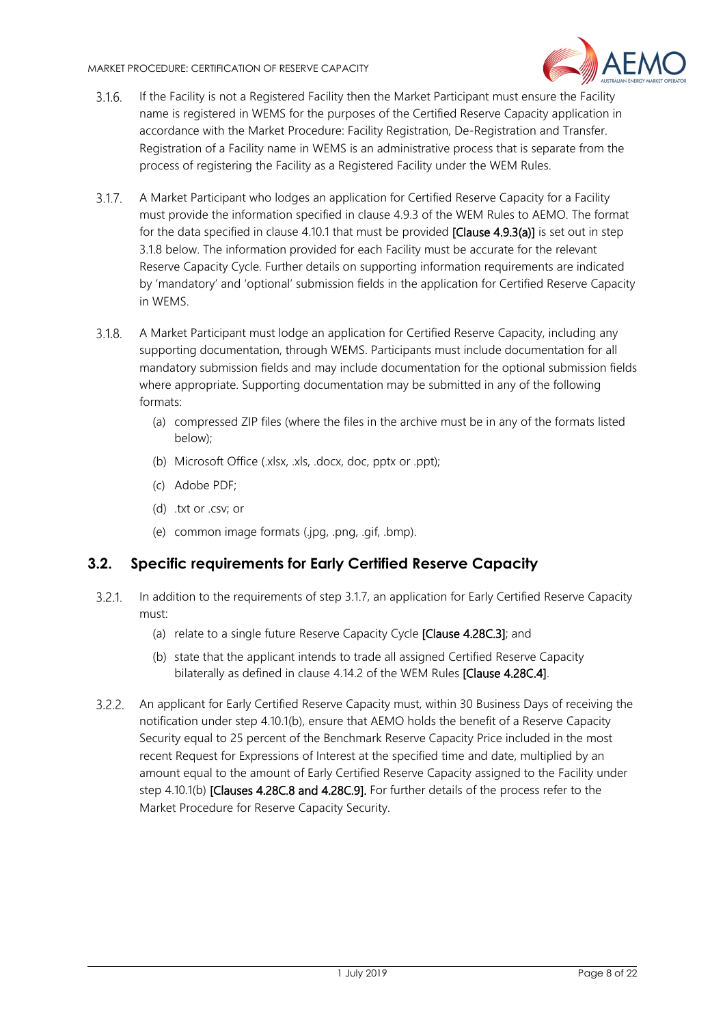

- $3.1.6.$ If the Facility is not a Registered Facility then the Market Participant must ensure the Facility name is registered in WEMS for the purposes of the Certified Reserve Capacity application in accordance with the Market Procedure: Facility Registration, De-Registration and Transfer. Registration of a Facility name in WEMS is an administrative process that is separate from the process of registering the Facility as a Registered Facility under the WEM Rules.
- <span id="page-7-2"></span> $3.1.7.$ A Market Participant who lodges an application for Certified Reserve Capacity for a Facility must provide the information specified in clause 4.9.3 of the WEM Rules to AEMO. The format for the data specified in clause 4.10.1 that must be provided [Clause 4.9.3(a)] is set out in step [3.1.8](#page-7-1) below. The information provided for each Facility must be accurate for the relevant Reserve Capacity Cycle. Further details on supporting information requirements are indicated by 'mandatory' and 'optional' submission fields in the application for Certified Reserve Capacity in WEMS.
- <span id="page-7-1"></span> $3.1.8.$ A Market Participant must lodge an application for Certified Reserve Capacity, including any supporting documentation, through WEMS. Participants must include documentation for all mandatory submission fields and may include documentation for the optional submission fields where appropriate. Supporting documentation may be submitted in any of the following formats:
	- (a) compressed ZIP files (where the files in the archive must be in any of the formats listed below);
	- (b) Microsoft Office (.xlsx, .xls, .docx, doc, pptx or .ppt);
	- (c) Adobe PDF;
	- (d) .txt or .csv; or
	- (e) common image formats (.jpg, .png, .gif, .bmp).

# <span id="page-7-0"></span>**3.2. Specific requirements for Early Certified Reserve Capacity**

- $3.2.1$ In addition to the requirements of step [3.1.7,](#page-7-2) an application for Early Certified Reserve Capacity must:
	- (a) relate to a single future Reserve Capacity Cycle [Clause 4.28C.3]; and
	- (b) state that the applicant intends to trade all assigned Certified Reserve Capacity bilaterally as defined in clause 4.14.2 of the WEM Rules [Clause 4.28C.4].
- $3.2.2.$ An applicant for Early Certified Reserve Capacity must, within 30 Business Days of receiving the notification under step 4.10.1(b), ensure that AEMO holds the benefit of a Reserve Capacity Security equal to 25 percent of the Benchmark Reserve Capacity Price included in the most recent Request for Expressions of Interest at the specified time and date, multiplied by an amount equal to the amount of Early Certified Reserve Capacity assigned to the Facility under step 4.10.1(b) [Clauses 4.28C.8 and 4.28C.9]. For further details of the process refer to the Market Procedure for Reserve Capacity Security.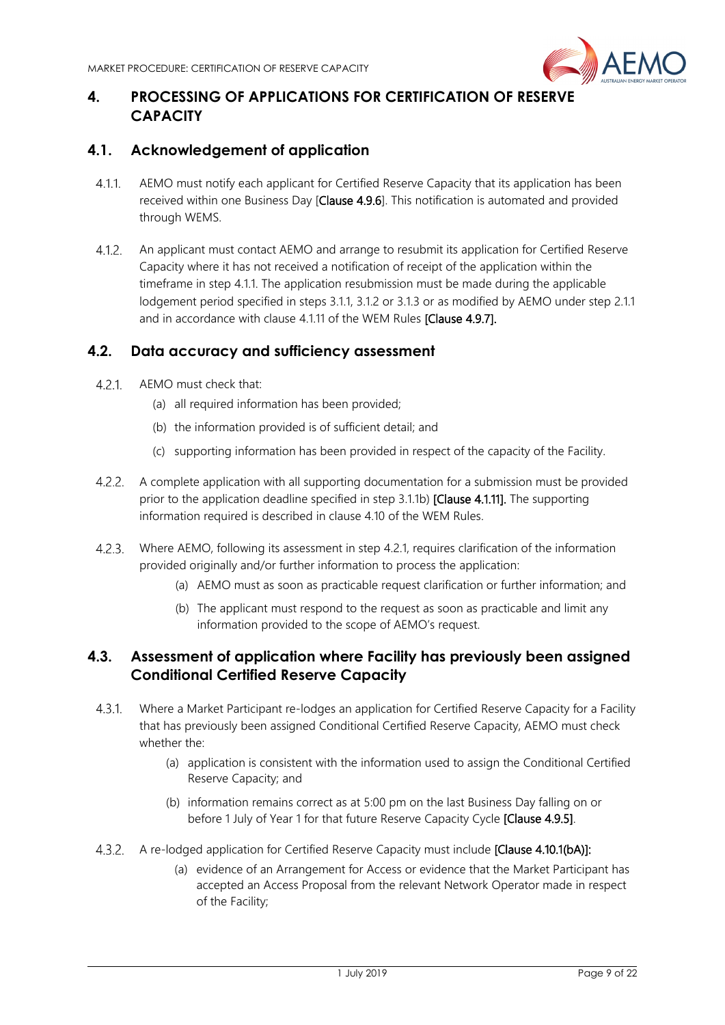

# <span id="page-8-0"></span>**4. PROCESSING OF APPLICATIONS FOR CERTIFICATION OF RESERVE CAPACITY**

# <span id="page-8-1"></span>**4.1. Acknowledgement of application**

- <span id="page-8-4"></span>AEMO must notify each applicant for Certified Reserve Capacity that its application has been  $4.1.1$ received within one Business Day [Clause 4.9.6]. This notification is automated and provided through WEMS.
- $4.1.2$ An applicant must contact AEMO and arrange to resubmit its application for Certified Reserve Capacity where it has not received a notification of receipt of the application within the timeframe in step [4.1.1.](#page-8-4) The application resubmission must be made during the applicable lodgement period specified in step[s 3.1.1,](#page-6-4) [3.1.2](#page-6-5) or [3.1.3](#page-6-6) or as modified by AEMO under step [2.1.1](#page-6-3) and in accordance with clause 4.1.11 of the WEM Rules [Clause 4.9.7].

# <span id="page-8-2"></span>**4.2. Data accuracy and sufficiency assessment**

- <span id="page-8-5"></span> $4.2.1$ AEMO must check that:
	- (a) all required information has been provided;
	- (b) the information provided is of sufficient detail; and
	- (c) supporting information has been provided in respect of the capacity of the Facility.
- A complete application with all supporting documentation for a submission must be provided prior to the application deadline specified in step [3.1.1](#page-6-4)[b\)](#page-6-7) [Clause 4.1.11]. The supporting information required is described in clause 4.10 of the WEM Rules.
- $4.2.3.$ Where AEMO, following its assessment in step [4.2.1,](#page-8-5) requires clarification of the information provided originally and/or further information to process the application:
	- (a) AEMO must as soon as practicable request clarification or further information; and
	- (b) The applicant must respond to the request as soon as practicable and limit any information provided to the scope of AEMO's request.

# <span id="page-8-3"></span>**4.3. Assessment of application where Facility has previously been assigned Conditional Certified Reserve Capacity**

- Where a Market Participant re-lodges an application for Certified Reserve Capacity for a Facility  $4.3.1.$ that has previously been assigned Conditional Certified Reserve Capacity, AEMO must check whether the:
	- (a) application is consistent with the information used to assign the Conditional Certified Reserve Capacity; and
	- (b) information remains correct as at 5:00 pm on the last Business Day falling on or before 1 July of Year 1 for that future Reserve Capacity Cycle [Clause 4.9.5].
- <span id="page-8-6"></span>4.3.2. A re-lodged application for Certified Reserve Capacity must include [Clause 4.10.1(bA)]:
	- (a) evidence of an Arrangement for Access or evidence that the Market Participant has accepted an Access Proposal from the relevant Network Operator made in respect of the Facility;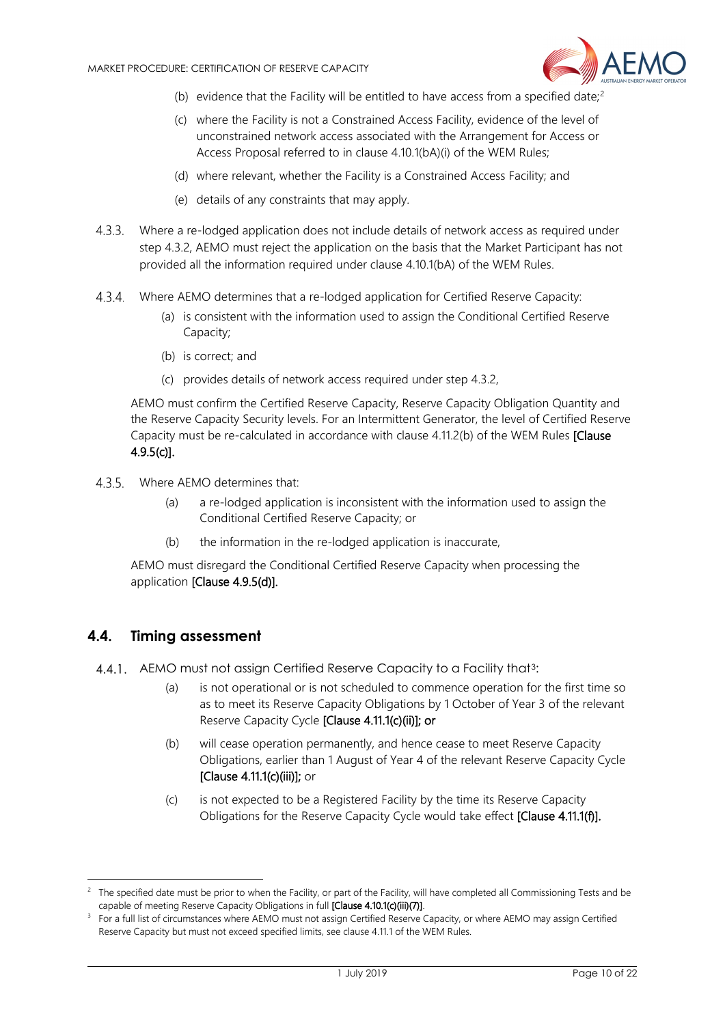

- (b) evidence that the Facility will be entitled to have access from a specified date;<sup>[2](#page-9-2)</sup>
- (c) where the Facility is not a Constrained Access Facility, evidence of the level of unconstrained network access associated with the Arrangement for Access or Access Proposal referred to in clause 4.10.1(bA)(i) of the WEM Rules;
- (d) where relevant, whether the Facility is a Constrained Access Facility; and
- (e) details of any constraints that may apply.
- Where a re-lodged application does not include details of network access as required under step [4.3.2,](#page-8-6) AEMO must reject the application on the basis that the Market Participant has not provided all the information required under clause 4.10.1(bA) of the WEM Rules.
- Where AEMO determines that a re-lodged application for Certified Reserve Capacity:
	- (a) is consistent with the information used to assign the Conditional Certified Reserve Capacity;
	- (b) is correct; and
	- (c) provides details of network access required under step [4.3.2,](#page-8-6)

AEMO must confirm the Certified Reserve Capacity, Reserve Capacity Obligation Quantity and the Reserve Capacity Security levels. For an Intermittent Generator, the level of Certified Reserve Capacity must be re-calculated in accordance with clause 4.11.2(b) of the WEM Rules [Clause 4.9.5(c)].

- Where AEMO determines that:
	- (a) a re-lodged application is inconsistent with the information used to assign the Conditional Certified Reserve Capacity; or
	- (b) the information in the re-lodged application is inaccurate,

AEMO must disregard the Conditional Certified Reserve Capacity when processing the application [Clause 4.9.5(d)].

#### <span id="page-9-0"></span>**4.4. Timing assessment**

<span id="page-9-1"></span>-

4.4.1. AEMO must not assign Certified Reserve Capacity to a Facility that<sup>[3](#page-9-3)</sup>:

- (a) is not operational or is not scheduled to commence operation for the first time so as to meet its Reserve Capacity Obligations by 1 October of Year 3 of the relevant Reserve Capacity Cycle [Clause 4.11.1(c)(ii)]; or
- (b) will cease operation permanently, and hence cease to meet Reserve Capacity Obligations, earlier than 1 August of Year 4 of the relevant Reserve Capacity Cycle [Clause 4.11.1(c)(iii)]; or
- (c) is not expected to be a Registered Facility by the time its Reserve Capacity Obligations for the Reserve Capacity Cycle would take effect [Clause 4.11.1(f)].

<span id="page-9-2"></span> $2$  The specified date must be prior to when the Facility, or part of the Facility, will have completed all Commissioning Tests and be capable of meeting Reserve Capacity Obligations in full **[Clause 4.10.1(c)(iii)(7)**].<br><sup>3</sup> For a full list of circumstances where AEMO must not assign Certified Reserve Capacity, or where AEMO may assign Certified

<span id="page-9-3"></span>Reserve Capacity but must not exceed specified limits, see clause 4.11.1 of the WEM Rules.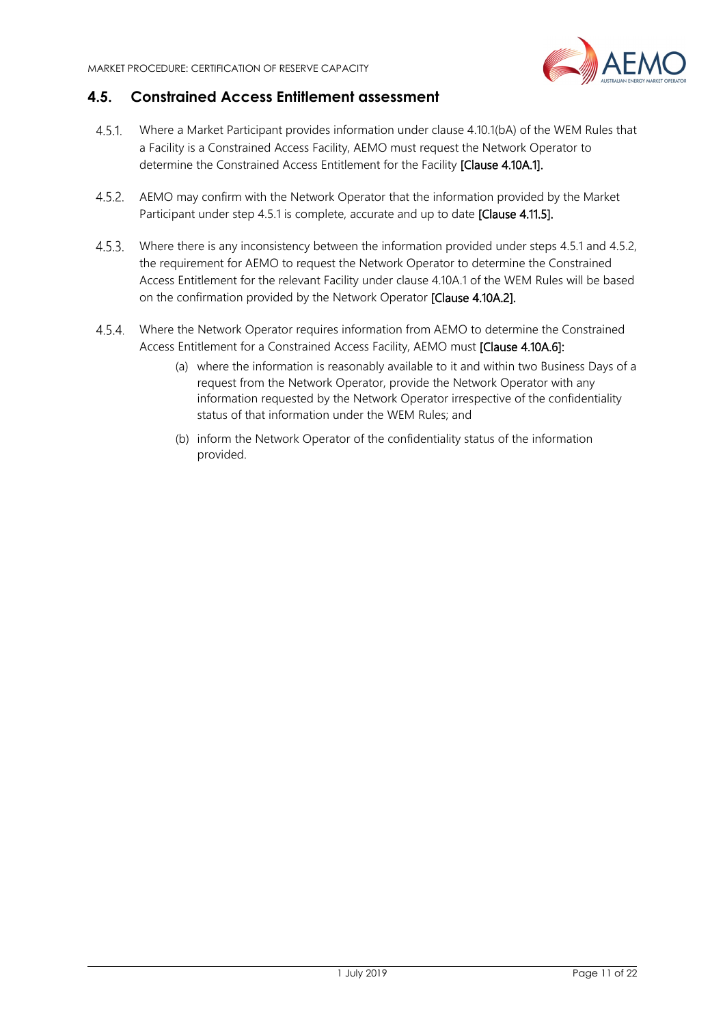

## **4.5. Constrained Access Entitlement assessment**

- <span id="page-10-0"></span>Where a Market Participant provides information under clause 4.10.1(bA) of the WEM Rules that  $4.5.1$ a Facility is a Constrained Access Facility, AEMO must request the Network Operator to determine the Constrained Access Entitlement for the Facility [Clause 4.10A.1].
- AEMO may confirm with the Network Operator that the information provided by the Market Participant under ste[p 4.5.1](#page-10-0) is complete, accurate and up to date [Clause 4.11.5].
- $4.5.3.$ Where there is any inconsistency between the information provided under steps 4.5.1 and 4.5.2, the requirement for AEMO to request the Network Operator to determine the Constrained Access Entitlement for the relevant Facility under clause 4.10A.1 of the WEM Rules will be based on the confirmation provided by the Network Operator [Clause 4.10A.2].
- Where the Network Operator requires information from AEMO to determine the Constrained Access Entitlement for a Constrained Access Facility, AEMO must [Clause 4.10A.6]:
	- (a) where the information is reasonably available to it and within two Business Days of a request from the Network Operator, provide the Network Operator with any information requested by the Network Operator irrespective of the confidentiality status of that information under the WEM Rules; and
	- (b) inform the Network Operator of the confidentiality status of the information provided.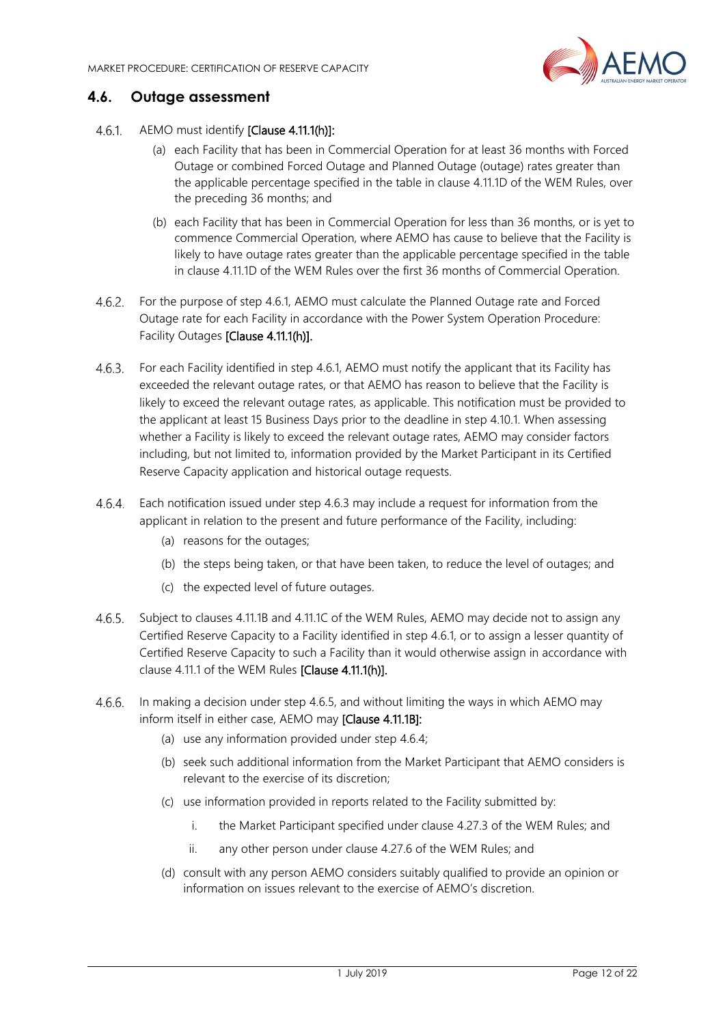

# <span id="page-11-0"></span>**4.6. Outage assessment**

- <span id="page-11-1"></span>4.6.1 AEMO must identify [Clause 4.11.1(h)]:
	- (a) each Facility that has been in Commercial Operation for at least 36 months with Forced Outage or combined Forced Outage and Planned Outage (outage) rates greater than the applicable percentage specified in the table in clause 4.11.1D of the WEM Rules, over the preceding 36 months; and
	- (b) each Facility that has been in Commercial Operation for less than 36 months, or is yet to commence Commercial Operation, where AEMO has cause to believe that the Facility is likely to have outage rates greater than the applicable percentage specified in the table in clause 4.11.1D of the WEM Rules over the first 36 months of Commercial Operation.
- For the purpose of step [4.6.1,](#page-11-1) AEMO must calculate the Planned Outage rate and Forced Outage rate for each Facility in accordance with the Power System Operation Procedure: Facility Outages [Clause 4.11.1(h)].
- <span id="page-11-2"></span>For each Facility identified in step [4.6.1,](#page-11-1) AEMO must notify the applicant that its Facility has exceeded the relevant outage rates, or that AEMO has reason to believe that the Facility is likely to exceed the relevant outage rates, as applicable. This notification must be provided to the applicant at least 15 Business Days prior to the deadline in ste[p 4.10.1.](#page-14-3) When assessing whether a Facility is likely to exceed the relevant outage rates, AEMO may consider factors including, but not limited to, information provided by the Market Participant in its Certified Reserve Capacity application and historical outage requests.
- <span id="page-11-4"></span>Each notification issued under step [4.6.3](#page-11-2) may include a request for information from the applicant in relation to the present and future performance of the Facility, including:
	- (a) reasons for the outages;
	- (b) the steps being taken, or that have been taken, to reduce the level of outages; and
	- (c) the expected level of future outages.
- <span id="page-11-3"></span>4.6.5. Subject to clauses 4.11.1B and 4.11.1C of the WEM Rules, AEMO may decide not to assign any Certified Reserve Capacity to a Facility identified in step [4.6.1,](#page-11-1) or to assign a lesser quantity of Certified Reserve Capacity to such a Facility than it would otherwise assign in accordance with clause 4.11.1 of the WEM Rules [Clause 4.11.1(h)].
- $4.6.6.$ In making a decision under step [4.6.5,](#page-11-3) and without limiting the ways in which AEMO may inform itself in either case, AEMO may [Clause 4.11.1B]:
	- (a) use any information provided under step [4.6.4;](#page-11-4)
	- (b) seek such additional information from the Market Participant that AEMO considers is relevant to the exercise of its discretion;
	- (c) use information provided in reports related to the Facility submitted by:
		- i. the Market Participant specified under clause 4.27.3 of the WEM Rules; and
		- ii. any other person under clause 4.27.6 of the WEM Rules; and
	- (d) consult with any person AEMO considers suitably qualified to provide an opinion or information on issues relevant to the exercise of AEMO's discretion.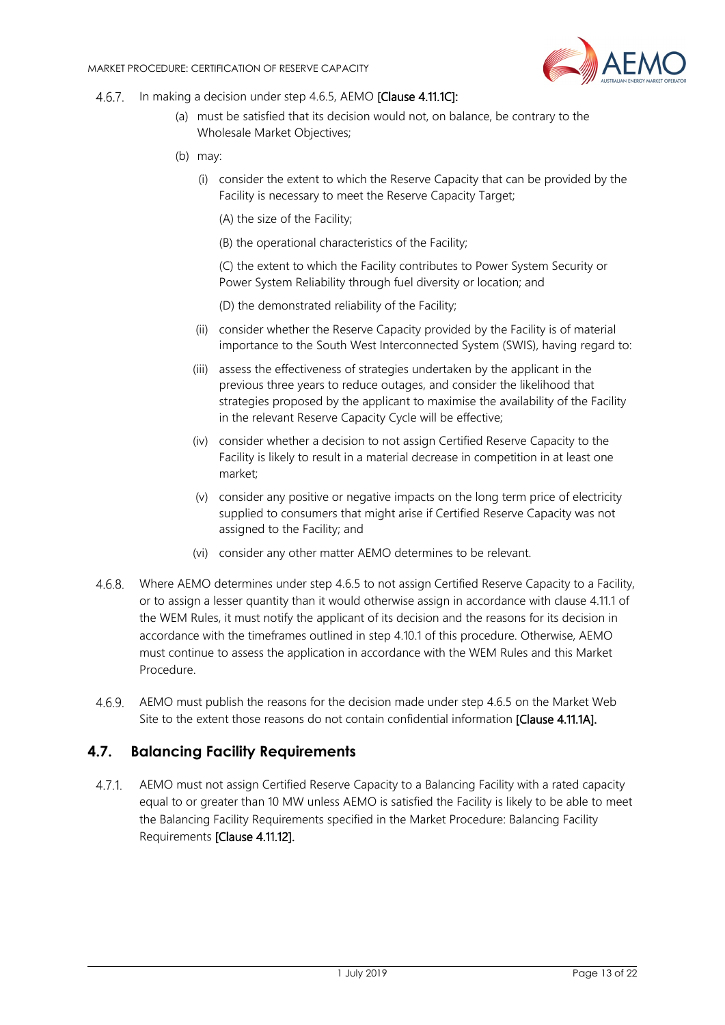

- 4.6.7. In making a decision under step [4.6.5,](#page-11-3) AEMO [Clause 4.11.1C]:
	- (a) must be satisfied that its decision would not, on balance, be contrary to the Wholesale Market Objectives;
	- (b) may:
		- (i) consider the extent to which the Reserve Capacity that can be provided by the Facility is necessary to meet the Reserve Capacity Target;
			- (A) the size of the Facility;
			- (B) the operational characteristics of the Facility;
			- (C) the extent to which the Facility contributes to Power System Security or Power System Reliability through fuel diversity or location; and
			- (D) the demonstrated reliability of the Facility;
		- (ii) consider whether the Reserve Capacity provided by the Facility is of material importance to the South West Interconnected System (SWIS), having regard to:
		- (iii) assess the effectiveness of strategies undertaken by the applicant in the previous three years to reduce outages, and consider the likelihood that strategies proposed by the applicant to maximise the availability of the Facility in the relevant Reserve Capacity Cycle will be effective;
		- (iv) consider whether a decision to not assign Certified Reserve Capacity to the Facility is likely to result in a material decrease in competition in at least one market;
		- (v) consider any positive or negative impacts on the long term price of electricity supplied to consumers that might arise if Certified Reserve Capacity was not assigned to the Facility; and
		- (vi) consider any other matter AEMO determines to be relevant.
- Where AEMO determines under step [4.6.5](#page-11-3) to not assign Certified Reserve Capacity to a Facility, or to assign a lesser quantity than it would otherwise assign in accordance with clause 4.11.1 of the WEM Rules, it must notify the applicant of its decision and the reasons for its decision in accordance with the timeframes outlined in ste[p 4.10.1](#page-14-3) of this procedure. Otherwise, AEMO must continue to assess the application in accordance with the WEM Rules and this Market Procedure.
- AEMO must publish the reasons for the decision made under step [4.6.5](#page-11-3) on the Market Web Site to the extent those reasons do not contain confidential information [Clause 4.11.1A].

#### <span id="page-12-0"></span>**4.7. Balancing Facility Requirements**

AEMO must not assign Certified Reserve Capacity to a Balancing Facility with a rated capacity  $4.7.1$ equal to or greater than 10 MW unless AEMO is satisfied the Facility is likely to be able to meet the Balancing Facility Requirements specified in the Market Procedure: Balancing Facility Requirements [Clause 4.11.12].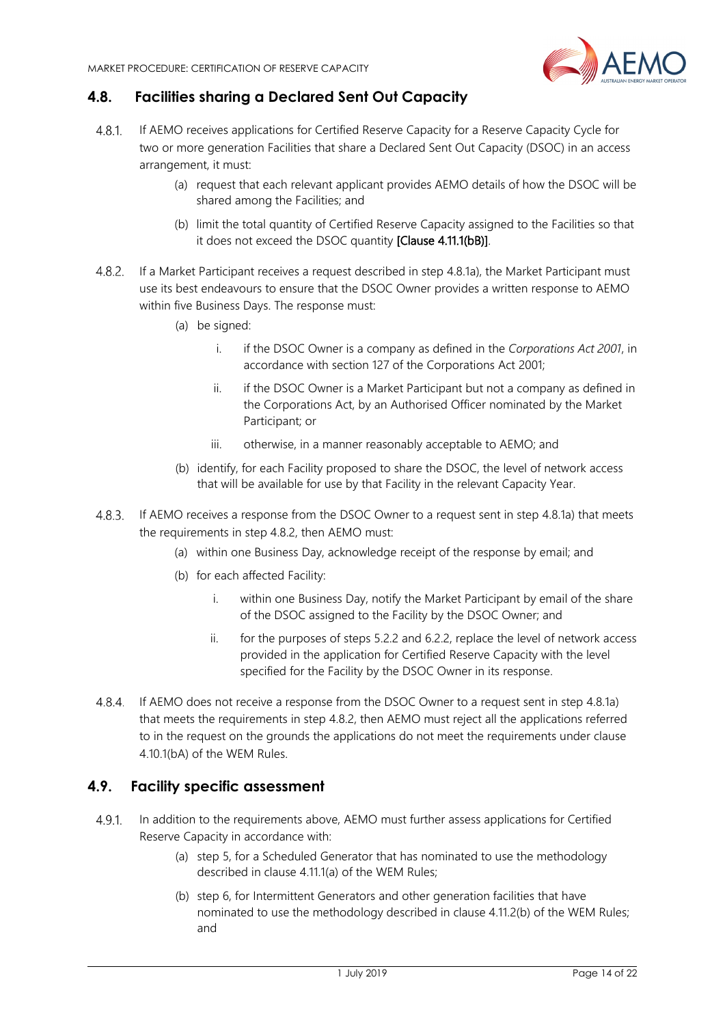

# <span id="page-13-0"></span>**4.8. Facilities sharing a Declared Sent Out Capacity**

- <span id="page-13-3"></span><span id="page-13-2"></span>4.8.1 If AEMO receives applications for Certified Reserve Capacity for a Reserve Capacity Cycle for two or more generation Facilities that share a Declared Sent Out Capacity (DSOC) in an access arrangement, it must:
	- (a) request that each relevant applicant provides AEMO details of how the DSOC will be shared among the Facilities; and
	- (b) limit the total quantity of Certified Reserve Capacity assigned to the Facilities so that it does not exceed the DSOC quantity [Clause 4.11.1(bB)].
- <span id="page-13-4"></span>If a Market Participant receives a request described in step [4.8.1](#page-13-2)[a\),](#page-13-3) the Market Participant must use its best endeavours to ensure that the DSOC Owner provides a written response to AEMO within five Business Days. The response must:
	- (a) be signed:
		- i. if the DSOC Owner is a company as defined in the *Corporations Act 2001*, in accordance with section 127 of the Corporations Act 2001;
		- ii. if the DSOC Owner is a Market Participant but not a company as defined in the Corporations Act, by an Authorised Officer nominated by the Market Participant; or
		- iii. otherwise, in a manner reasonably acceptable to AEMO; and
	- (b) identify, for each Facility proposed to share the DSOC, the level of network access that will be available for use by that Facility in the relevant Capacity Year.
- If AEMO receives a response from the DSOC Owner to a request sent in step [4.8.1](#page-13-2)[a\)](#page-13-3) that meets the requirements in step [4.8.2,](#page-13-4) then AEMO must:
	- (a) within one Business Day, acknowledge receipt of the response by email; and
	- (b) for each affected Facility:
		- i. within one Business Day, notify the Market Participant by email of the share of the DSOC assigned to the Facility by the DSOC Owner; and
		- ii. for the purposes of steps [5.2.2](#page-15-1) and [6.2.2,](#page-18-2) replace the level of network access provided in the application for Certified Reserve Capacity with the level specified for the Facility by the DSOC Owner in its response.
- 4.8.4. If AEMO does not receive a response from the DSOC Owner to a request sent in step [4.8.1](#page-13-2)[a\)](#page-13-3) that meets the requirements in step [4.8.2,](#page-13-4) then AEMO must reject all the applications referred to in the request on the grounds the applications do not meet the requirements under clause 4.10.1(bA) of the WEM Rules.

#### <span id="page-13-1"></span>**4.9. Facility specific assessment**

- $4.9.1.$ In addition to the requirements above, AEMO must further assess applications for Certified Reserve Capacity in accordance with:
	- (a) step [5,](#page-14-1) for a Scheduled Generator that has nominated to use the methodology described in clause 4.11.1(a) of the WEM Rules;
	- (b) step [6,](#page-17-1) for Intermittent Generators and other generation facilities that have nominated to use the methodology described in clause 4.11.2(b) of the WEM Rules; and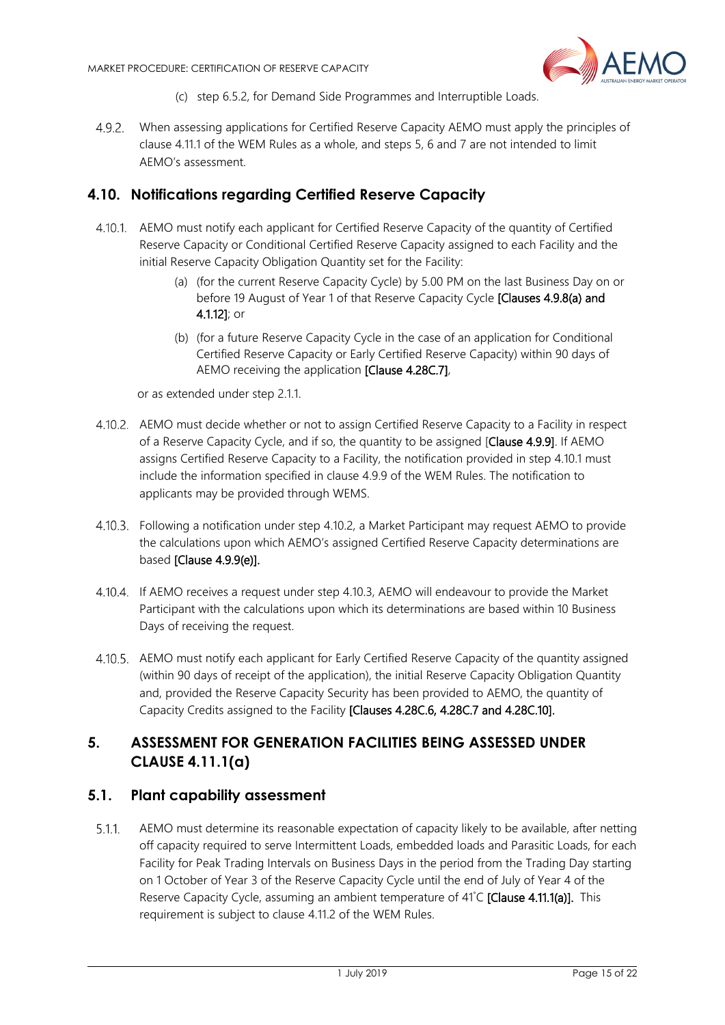

- (c) step [6.5.2,](#page-19-5) for Demand Side Programmes and Interruptible Loads.
- When assessing applications for Certified Reserve Capacity AEMO must apply the principles of clause 4.11.1 of the WEM Rules as a whole, and steps 5, 6 and 7 are not intended to limit AEMO's assessment.

### <span id="page-14-0"></span>**4.10. Notifications regarding Certified Reserve Capacity**

- <span id="page-14-3"></span>AEMO must notify each applicant for Certified Reserve Capacity of the quantity of Certified Reserve Capacity or Conditional Certified Reserve Capacity assigned to each Facility and the initial Reserve Capacity Obligation Quantity set for the Facility:
	- (a) (for the current Reserve Capacity Cycle) by 5.00 PM on the last Business Day on or before 19 August of Year 1 of that Reserve Capacity Cycle [Clauses 4.9.8(a) and 4.1.12]; or
	- (b) (for a future Reserve Capacity Cycle in the case of an application for Conditional Certified Reserve Capacity or Early Certified Reserve Capacity) within 90 days of AEMO receiving the application [Clause 4.28C.7],

or as extended under step [2.1.1.](#page-6-3) 

- <span id="page-14-4"></span>AEMO must decide whether or not to assign Certified Reserve Capacity to a Facility in respect of a Reserve Capacity Cycle, and if so, the quantity to be assigned [Clause 4.9.9]. If AEMO assigns Certified Reserve Capacity to a Facility, the notification provided in step [4.10.1](#page-14-3) must include the information specified in clause 4.9.9 of the WEM Rules. The notification to applicants may be provided through WEMS.
- <span id="page-14-5"></span>Following a notification under step [4.10.2,](#page-14-4) a Market Participant may request AEMO to provide the calculations upon which AEMO's assigned Certified Reserve Capacity determinations are based [Clause 4.9.9(e)].
- If AEMO receives a request under step [4.10.3,](#page-14-5) AEMO will endeavour to provide the Market Participant with the calculations upon which its determinations are based within 10 Business Days of receiving the request.
- AEMO must notify each applicant for Early Certified Reserve Capacity of the quantity assigned (within 90 days of receipt of the application), the initial Reserve Capacity Obligation Quantity and, provided the Reserve Capacity Security has been provided to AEMO, the quantity of Capacity Credits assigned to the Facility [Clauses 4.28C.6, 4.28C.7 and 4.28C.10].

# <span id="page-14-1"></span>**5. ASSESSMENT FOR GENERATION FACILITIES BEING ASSESSED UNDER CLAUSE 4.11.1(a)**

#### <span id="page-14-2"></span>**5.1. Plant capability assessment**

<span id="page-14-6"></span> $5.1.1.$ AEMO must determine its reasonable expectation of capacity likely to be available, after netting off capacity required to serve Intermittent Loads, embedded loads and Parasitic Loads, for each Facility for Peak Trading Intervals on Business Days in the period from the Trading Day starting on 1 October of Year 3 of the Reserve Capacity Cycle until the end of July of Year 4 of the Reserve Capacity Cycle, assuming an ambient temperature of 41°C [Clause 4.11.1(a)]. This requirement is subject to clause 4.11.2 of the WEM Rules.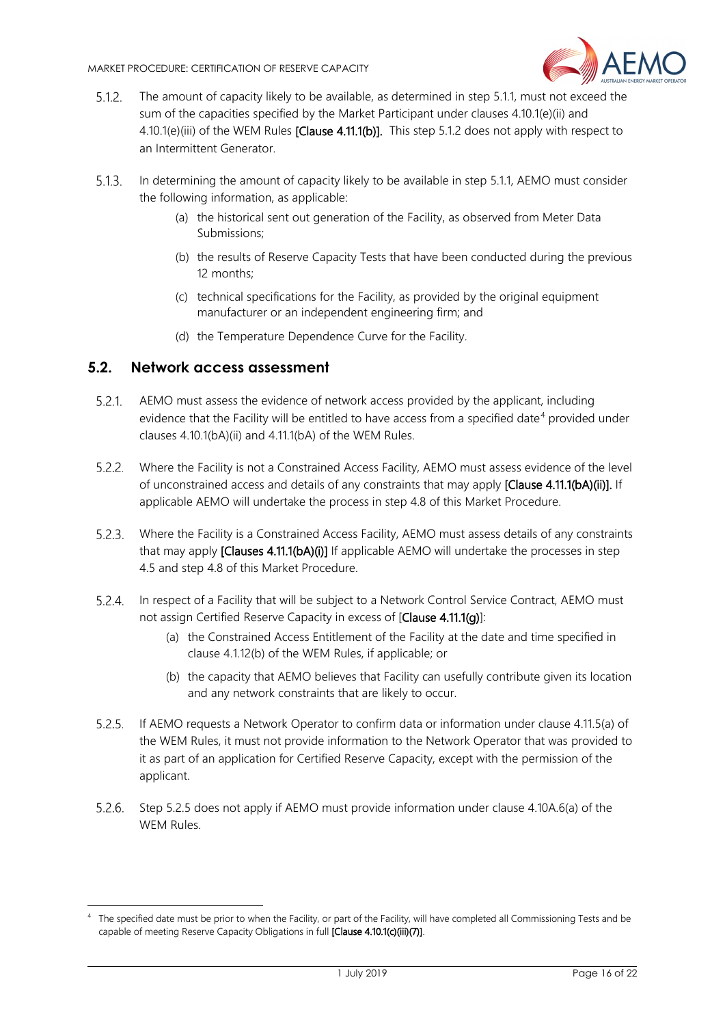

- <span id="page-15-2"></span> $5.1.2.$ The amount of capacity likely to be available, as determined in step [5.1.1,](#page-14-6) must not exceed the sum of the capacities specified by the Market Participant under clauses 4.10.1(e)(ii) and 4.10.1(e)(iii) of the WEM Rules [Clause 4.11.1(b)]. This step [5.1.2](#page-15-2) does not apply with respect to an Intermittent Generator.
- $5.1.3.$ In determining the amount of capacity likely to be available in step [5.1.1,](#page-14-6) AEMO must consider the following information, as applicable:
	- (a) the historical sent out generation of the Facility, as observed from Meter Data Submissions;
	- (b) the results of Reserve Capacity Tests that have been conducted during the previous 12 months;
	- (c) technical specifications for the Facility, as provided by the original equipment manufacturer or an independent engineering firm; and
	- (d) the Temperature Dependence Curve for the Facility.

#### <span id="page-15-0"></span>**5.2. Network access assessment**

-

- $5.2.1$ AEMO must assess the evidence of network access provided by the applicant, including evidence that the Facility will be entitled to have access from a specified date<sup>[4](#page-15-4)</sup> provided under clauses 4.10.1(bA)(ii) and 4.11.1(bA) of the WEM Rules.
- <span id="page-15-1"></span>Where the Facility is not a Constrained Access Facility, AEMO must assess evidence of the level of unconstrained access and details of any constraints that may apply [Clause 4.11.1(bA)(ii)]. If applicable AEMO will undertake the process in step 4.8 of this Market Procedure.
- Where the Facility is a Constrained Access Facility, AEMO must assess details of any constraints that may apply [Clauses 4.11.1(bA)(i)] If applicable AEMO will undertake the processes in step 4.5 and step 4.8 of this Market Procedure.
- 5.2.4. In respect of a Facility that will be subject to a Network Control Service Contract, AEMO must not assign Certified Reserve Capacity in excess of [Clause 4.11.1(g)]:
	- (a) the Constrained Access Entitlement of the Facility at the date and time specified in clause 4.1.12(b) of the WEM Rules, if applicable; or
	- (b) the capacity that AEMO believes that Facility can usefully contribute given its location and any network constraints that are likely to occur.
- <span id="page-15-3"></span> $5.2.5.$ If AEMO requests a Network Operator to confirm data or information under clause 4.11.5(a) of the WEM Rules, it must not provide information to the Network Operator that was provided to it as part of an application for Certified Reserve Capacity, except with the permission of the applicant.
- Step [5.2.5](#page-15-3) does not apply if AEMO must provide information under clause 4.10A.6(a) of the WEM Rules.

<span id="page-15-4"></span><sup>4</sup> The specified date must be prior to when the Facility, or part of the Facility, will have completed all Commissioning Tests and be capable of meeting Reserve Capacity Obligations in full [Clause 4.10.1(c)(iii)(7)].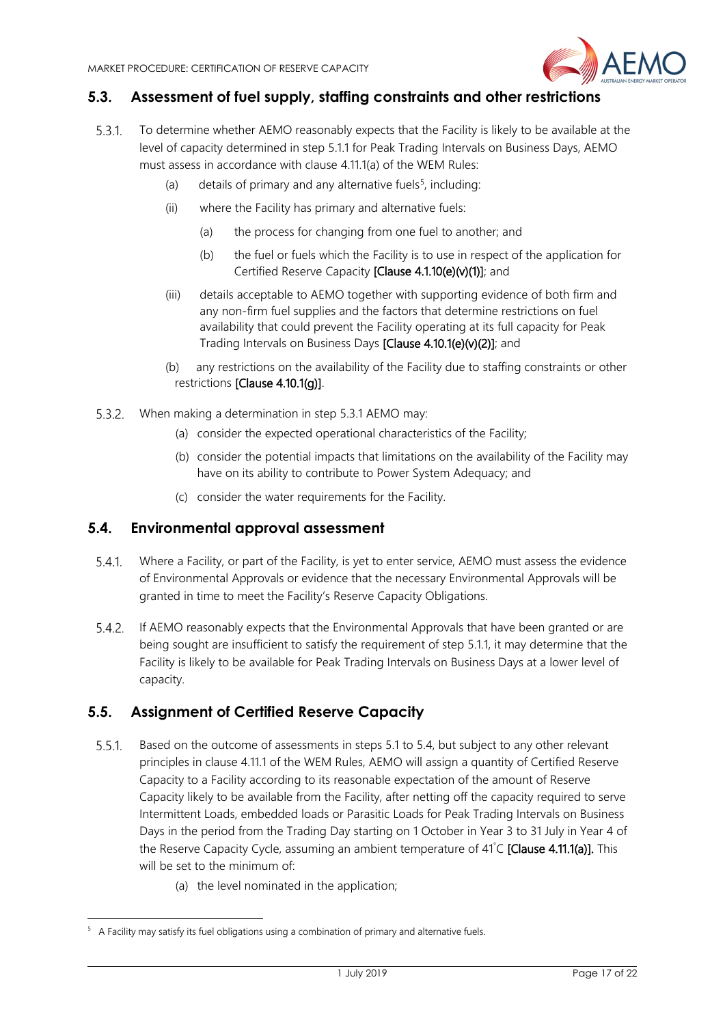

# <span id="page-16-0"></span>**5.3. Assessment of fuel supply, staffing constraints and other restrictions**

- <span id="page-16-3"></span>531 To determine whether AEMO reasonably expects that the Facility is likely to be available at the level of capacity determined in step [5.1.1](#page-14-6) for Peak Trading Intervals on Business Days, AEMO must assess in accordance with clause 4.11.1(a) of the WEM Rules:
	- (a) details of primary and any alternative fuels<sup>[5](#page-16-4)</sup>, including:
	- (ii) where the Facility has primary and alternative fuels:
		- (a) the process for changing from one fuel to another; and
		- (b) the fuel or fuels which the Facility is to use in respect of the application for Certified Reserve Capacity [Clause 4.1.10(e)(v)(1)]; and
	- (iii) details acceptable to AEMO together with supporting evidence of both firm and any non-firm fuel supplies and the factors that determine restrictions on fuel availability that could prevent the Facility operating at its full capacity for Peak Trading Intervals on Business Days [Clause 4.10.1(e)(v)(2)]; and
	- (b) any restrictions on the availability of the Facility due to staffing constraints or other restrictions [Clause 4.10.1(g)].
- When making a determination in step [5.3.1](#page-16-3) AEMO may:
	- (a) consider the expected operational characteristics of the Facility;
	- (b) consider the potential impacts that limitations on the availability of the Facility may have on its ability to contribute to Power System Adequacy; and
	- (c) consider the water requirements for the Facility.

#### <span id="page-16-1"></span>**5.4. Environmental approval assessment**

- $5.4.1$ . Where a Facility, or part of the Facility, is yet to enter service, AEMO must assess the evidence of Environmental Approvals or evidence that the necessary Environmental Approvals will be granted in time to meet the Facility's Reserve Capacity Obligations.
- <span id="page-16-5"></span>If AEMO reasonably expects that the Environmental Approvals that have been granted or are being sought are insufficient to satisfy the requirement of step [5.1.1,](#page-14-6) it may determine that the Facility is likely to be available for Peak Trading Intervals on Business Days at a lower level of capacity.

# <span id="page-16-2"></span>**5.5. Assignment of Certified Reserve Capacity**

- $5.5.1$ Based on the outcome of assessments in steps [5.1](#page-14-2) to [5.4,](#page-16-1) but subject to any other relevant principles in clause 4.11.1 of the WEM Rules, AEMO will assign a quantity of Certified Reserve Capacity to a Facility according to its reasonable expectation of the amount of Reserve Capacity likely to be available from the Facility, after netting off the capacity required to serve Intermittent Loads, embedded loads or Parasitic Loads for Peak Trading Intervals on Business Days in the period from the Trading Day starting on 1 October in Year 3 to 31 July in Year 4 of the Reserve Capacity Cycle, assuming an ambient temperature of 41°C [Clause 4.11.1(a)]. This will be set to the minimum of
	- (a) the level nominated in the application;

-

<span id="page-16-4"></span><sup>&</sup>lt;sup>5</sup> A Facility may satisfy its fuel obligations using a combination of primary and alternative fuels.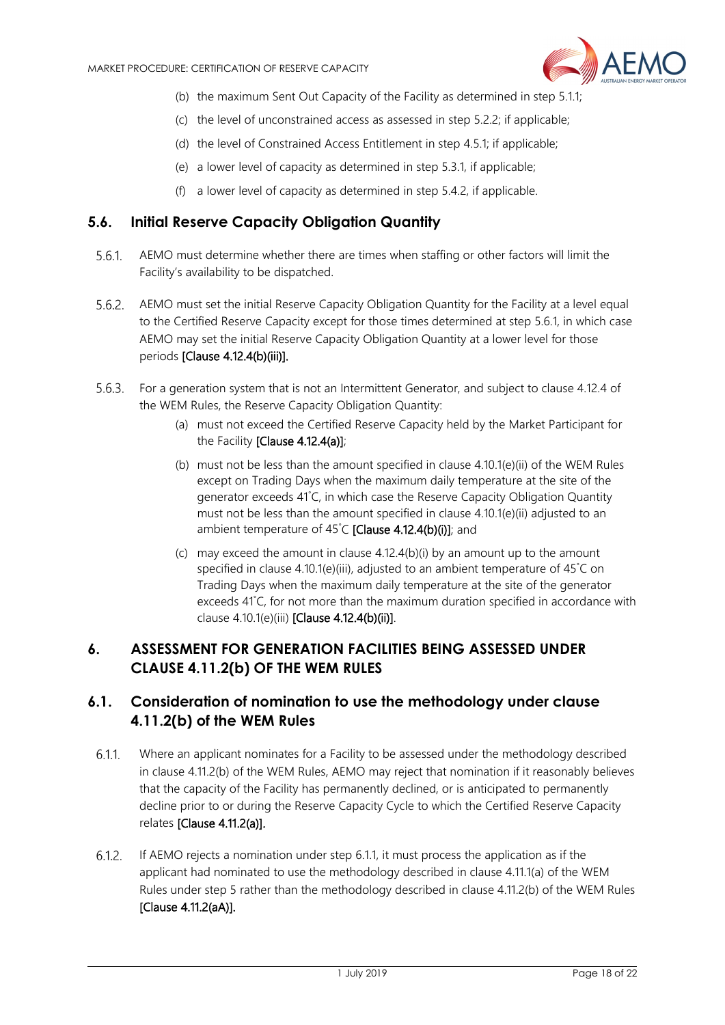

- (b) the maximum Sent Out Capacity of the Facility as determined in step [5.1.1;](#page-14-6)
- (c) the level of unconstrained access as assessed in step [5.2.2;](#page-15-1) if applicable;
- (d) the level of Constrained Access Entitlement in step [4.5.1;](#page-10-0) if applicable;
- (e) a lower level of capacity as determined in ste[p 5.3.1,](#page-16-3) if applicable;
- (f) a lower level of capacity as determined in ste[p 5.4.2,](#page-16-5) if applicable.

#### <span id="page-17-0"></span>**5.6. Initial Reserve Capacity Obligation Quantity**

- <span id="page-17-3"></span>AEMO must determine whether there are times when staffing or other factors will limit the  $5.6.1.$ Facility's availability to be dispatched.
- 5.6.2. AEMO must set the initial Reserve Capacity Obligation Quantity for the Facility at a level equal to the Certified Reserve Capacity except for those times determined at step [5.6.1,](#page-17-3) in which case AEMO may set the initial Reserve Capacity Obligation Quantity at a lower level for those periods [Clause 4.12.4(b)(iii)].
- For a generation system that is not an Intermittent Generator, and subject to clause 4.12.4 of the WEM Rules, the Reserve Capacity Obligation Quantity:
	- (a) must not exceed the Certified Reserve Capacity held by the Market Participant for the Facility [Clause 4.12.4(a)];
	- (b) must not be less than the amount specified in clause 4.10.1(e)(ii) of the WEM Rules except on Trading Days when the maximum daily temperature at the site of the generator exceeds 41° C, in which case the Reserve Capacity Obligation Quantity must not be less than the amount specified in clause 4.10.1(e)(ii) adjusted to an ambient temperature of 45°C [Clause 4.12.4(b)(i)]; and
	- (c) may exceed the amount in clause 4.12.4(b)(i) by an amount up to the amount specified in clause 4.10.1(e)(iii), adjusted to an ambient temperature of 45° C on Trading Days when the maximum daily temperature at the site of the generator exceeds 41° C, for not more than the maximum duration specified in accordance with clause 4.10.1(e)(iii) [Clause 4.12.4(b)(ii)].

# <span id="page-17-1"></span>**6. ASSESSMENT FOR GENERATION FACILITIES BEING ASSESSED UNDER CLAUSE 4.11.2(b) OF THE WEM RULES**

# <span id="page-17-2"></span>**6.1. Consideration of nomination to use the methodology under clause 4.11.2(b) of the WEM Rules**

- <span id="page-17-4"></span>6.1.1 Where an applicant nominates for a Facility to be assessed under the methodology described in clause 4.11.2(b) of the WEM Rules, AEMO may reject that nomination if it reasonably believes that the capacity of the Facility has permanently declined, or is anticipated to permanently decline prior to or during the Reserve Capacity Cycle to which the Certified Reserve Capacity relates [Clause 4.11.2(a)].
- $6.1.2.$ If AEMO rejects a nomination under step [6.1.1,](#page-17-4) it must process the application as if the applicant had nominated to use the methodology described in clause 4.11.1(a) of the WEM Rules under step [5](#page-14-1) rather than the methodology described in clause 4.11.2(b) of the WEM Rules [Clause 4.11.2(aA)].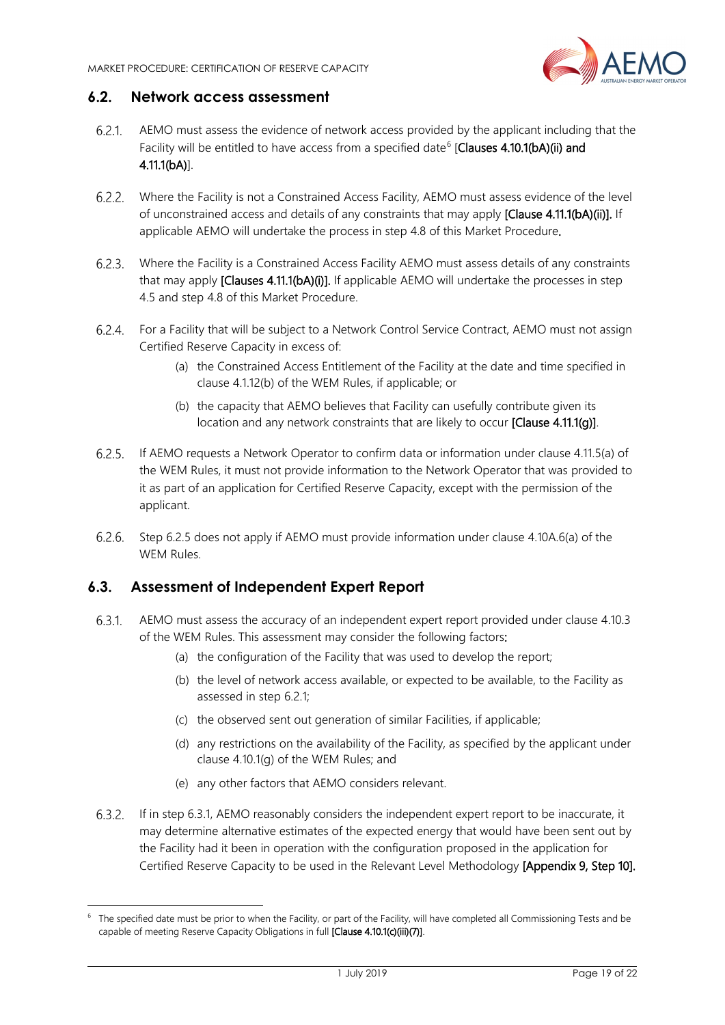

#### <span id="page-18-0"></span>**6.2. Network access assessment**

- <span id="page-18-4"></span>AEMO must assess the evidence of network access provided by the applicant including that the 621 Facility will be entitled to have access from a specified date<sup>[6](#page-18-6)</sup> [Clauses 4.10.1(bA)(ii) and 4.11.1(bA)].
- <span id="page-18-2"></span>Where the Facility is not a Constrained Access Facility, AEMO must assess evidence of the level  $6.2.2.$ of unconstrained access and details of any constraints that may apply [Clause 4.11.1(bA)(ii)]. If applicable AEMO will undertake the process in step [4.8](#page-13-0) of this Market Procedure.
- Where the Facility is a Constrained Access Facility AEMO must assess details of any constraints that may apply [Clauses 4.11.1(bA)(i)]. If applicable AEMO will undertake the processes in step 4.5 and step 4.8 of this Market Procedure.
- For a Facility that will be subject to a Network Control Service Contract, AEMO must not assign Certified Reserve Capacity in excess of:
	- (a) the Constrained Access Entitlement of the Facility at the date and time specified in clause 4.1.12(b) of the WEM Rules, if applicable; or
	- (b) the capacity that AEMO believes that Facility can usefully contribute given its location and any network constraints that are likely to occur [Clause 4.11.1(g)].
- <span id="page-18-3"></span>If AEMO requests a Network Operator to confirm data or information under clause 4.11.5(a) of the WEM Rules, it must not provide information to the Network Operator that was provided to it as part of an application for Certified Reserve Capacity, except with the permission of the applicant.
- Step [6.2.5](#page-18-3) does not apply if AEMO must provide information under clause 4.10A.6(a) of the WEM Rules.

# <span id="page-18-1"></span>**6.3. Assessment of Independent Expert Report**

-

- <span id="page-18-5"></span> $6.3.1.$ AEMO must assess the accuracy of an independent expert report provided under clause 4.10.3 of the WEM Rules. This assessment may consider the following factors:
	- (a) the configuration of the Facility that was used to develop the report;
	- (b) the level of network access available, or expected to be available, to the Facility as assessed in step [6.2.1;](#page-18-4)
	- (c) the observed sent out generation of similar Facilities, if applicable;
	- (d) any restrictions on the availability of the Facility, as specified by the applicant under clause 4.10.1(g) of the WEM Rules; and
	- (e) any other factors that AEMO considers relevant.
- If in step [6.3.1,](#page-18-5) AEMO reasonably considers the independent expert report to be inaccurate, it may determine alternative estimates of the expected energy that would have been sent out by the Facility had it been in operation with the configuration proposed in the application for Certified Reserve Capacity to be used in the Relevant Level Methodology [Appendix 9, Step 10].

<span id="page-18-6"></span><sup>&</sup>lt;sup>6</sup> The specified date must be prior to when the Facility, or part of the Facility, will have completed all Commissioning Tests and be capable of meeting Reserve Capacity Obligations in full [Clause 4.10.1(c)(iii)(7)].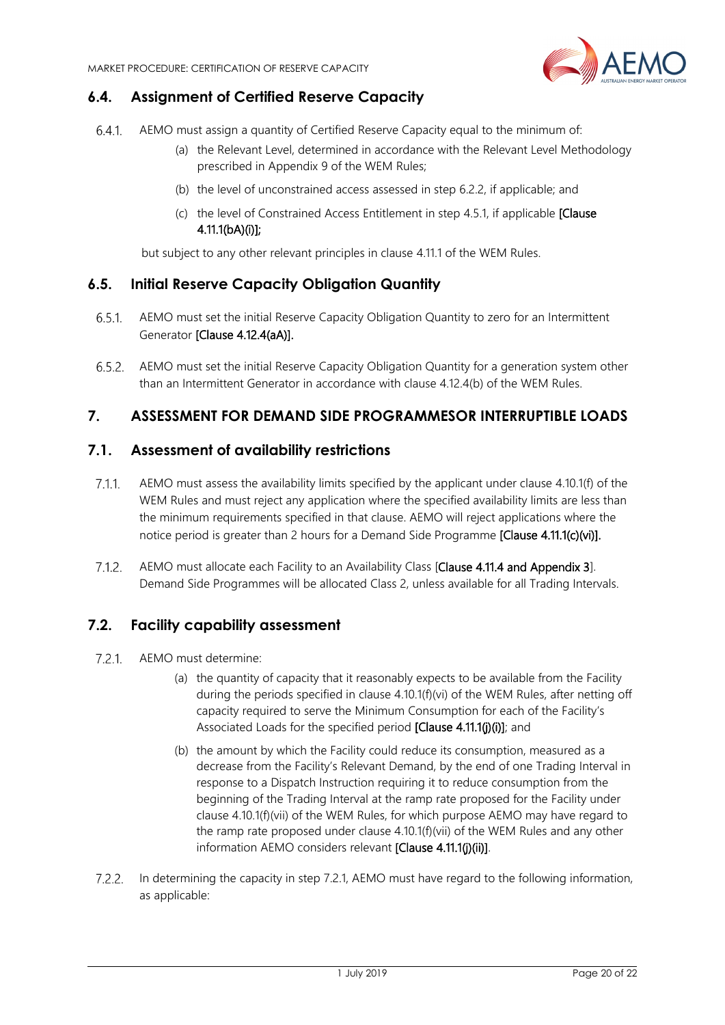

# <span id="page-19-0"></span>**6.4. Assignment of Certified Reserve Capacity**

- AEMO must assign a quantity of Certified Reserve Capacity equal to the minimum of:
	- (a) the Relevant Level, determined in accordance with the Relevant Level Methodology prescribed in Appendix 9 of the WEM Rules;
	- (b) the level of unconstrained access assessed in step [6.2.2,](#page-18-2) if applicable; and
	- (c) the level of Constrained Access Entitlement in step [4.5.1,](#page-10-0) if applicable [Clause 4.11.1(bA)(i)];

but subject to any other relevant principles in clause 4.11.1 of the WEM Rules.

#### <span id="page-19-1"></span>**6.5. Initial Reserve Capacity Obligation Quantity**

- $6.5.1$ AEMO must set the initial Reserve Capacity Obligation Quantity to zero for an Intermittent Generator [Clause 4.12.4(aA)].
- <span id="page-19-5"></span>AEMO must set the initial Reserve Capacity Obligation Quantity for a generation system other than an Intermittent Generator in accordance with clause 4.12.4(b) of the WEM Rules.

# <span id="page-19-2"></span>**7. ASSESSMENT FOR DEMAND SIDE PROGRAMMESOR INTERRUPTIBLE LOADS**

#### <span id="page-19-3"></span>**7.1. Assessment of availability restrictions**

- <span id="page-19-7"></span>AEMO must assess the availability limits specified by the applicant under clause 4.10.1(f) of the  $7.1.1.$ WEM Rules and must reject any application where the specified availability limits are less than the minimum requirements specified in that clause. AEMO will reject applications where the notice period is greater than 2 hours for a Demand Side Programme [Clause 4.11.1(c)(vi)].
- $7.1.2.$ AEMO must allocate each Facility to an Availability Class [Clause 4.11.4 and Appendix 3]. Demand Side Programmes will be allocated Class 2, unless available for all Trading Intervals.

#### <span id="page-19-4"></span>**7.2. Facility capability assessment**

- <span id="page-19-6"></span> $7.2.1$ . AEMO must determine:
	- (a) the quantity of capacity that it reasonably expects to be available from the Facility during the periods specified in clause 4.10.1(f)(vi) of the WEM Rules, after netting off capacity required to serve the Minimum Consumption for each of the Facility's Associated Loads for the specified period **[Clause 4.11.1(j)(j)**]; and
	- (b) the amount by which the Facility could reduce its consumption, measured as a decrease from the Facility's Relevant Demand, by the end of one Trading Interval in response to a Dispatch Instruction requiring it to reduce consumption from the beginning of the Trading Interval at the ramp rate proposed for the Facility under clause 4.10.1(f)(vii) of the WEM Rules, for which purpose AEMO may have regard to the ramp rate proposed under clause 4.10.1(f)(vii) of the WEM Rules and any other information AEMO considers relevant [Clause 4.11.1(j)(ii)].
- 7.2.2. In determining the capacity in step [7.2.1,](#page-19-6) AEMO must have regard to the following information, as applicable: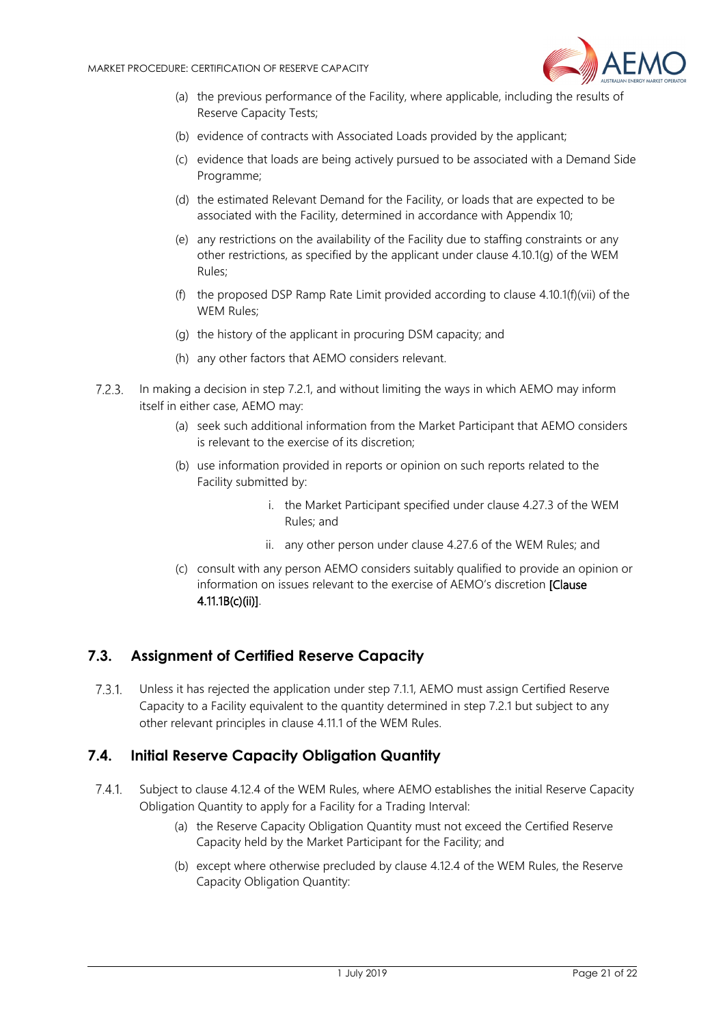

- (a) the previous performance of the Facility, where applicable, including the results of Reserve Capacity Tests;
- (b) evidence of contracts with Associated Loads provided by the applicant;
- (c) evidence that loads are being actively pursued to be associated with a Demand Side Programme;
- (d) the estimated Relevant Demand for the Facility, or loads that are expected to be associated with the Facility, determined in accordance with Appendix 10;
- (e) any restrictions on the availability of the Facility due to staffing constraints or any other restrictions, as specified by the applicant under clause 4.10.1(g) of the WEM Rules;
- (f) the proposed DSP Ramp Rate Limit provided according to clause 4.10.1(f)(vii) of the WEM Rules;
- (g) the history of the applicant in procuring DSM capacity; and
- (h) any other factors that AEMO considers relevant.
- 7.2.3. In making a decision in step [7.2.1,](#page-19-6) and without limiting the ways in which AEMO may inform itself in either case, AEMO may:
	- (a) seek such additional information from the Market Participant that AEMO considers is relevant to the exercise of its discretion;
	- (b) use information provided in reports or opinion on such reports related to the Facility submitted by:
		- i. the Market Participant specified under clause 4.27.3 of the WEM Rules; and
		- ii. any other person under clause 4.27.6 of the WEM Rules; and
	- (c) consult with any person AEMO considers suitably qualified to provide an opinion or information on issues relevant to the exercise of AEMO's discretion [Clause 4.11.1B(c)(ii)].

# <span id="page-20-0"></span>**7.3. Assignment of Certified Reserve Capacity**

 $7.3.1.$ Unless it has rejected the application under step [7.1.1,](#page-19-7) AEMO must assign Certified Reserve Capacity to a Facility equivalent to the quantity determined in ste[p 7.2.1](#page-19-6) but subject to any other relevant principles in clause 4.11.1 of the WEM Rules.

#### <span id="page-20-1"></span>**7.4. Initial Reserve Capacity Obligation Quantity**

- $7.4.1.$ Subject to clause 4.12.4 of the WEM Rules, where AEMO establishes the initial Reserve Capacity Obligation Quantity to apply for a Facility for a Trading Interval:
	- (a) the Reserve Capacity Obligation Quantity must not exceed the Certified Reserve Capacity held by the Market Participant for the Facility; and
	- (b) except where otherwise precluded by clause 4.12.4 of the WEM Rules, the Reserve Capacity Obligation Quantity: